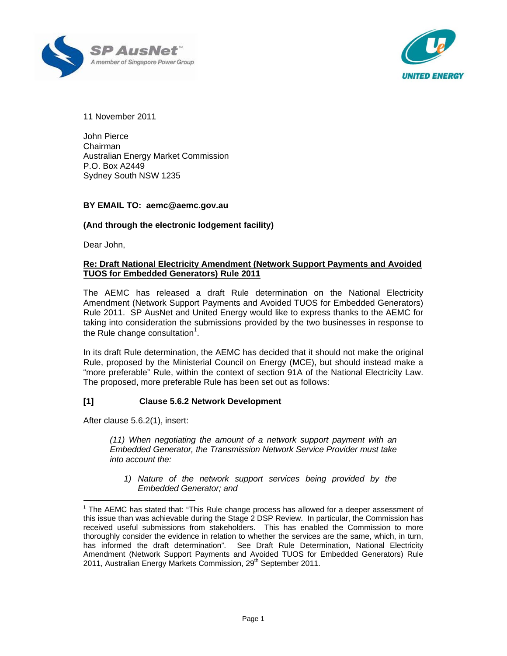



11 November 2011

John Pierce Chairman Australian Energy Market Commission P.O. Box A2449 Sydney South NSW 1235

## **BY EMAIL TO: aemc@aemc.gov.au**

## **(And through the electronic lodgement facility)**

Dear John,

## **Re: Draft National Electricity Amendment (Network Support Payments and Avoided TUOS for Embedded Generators) Rule 2011**

The AEMC has released a draft Rule determination on the National Electricity Amendment (Network Support Payments and Avoided TUOS for Embedded Generators) Rule 2011. SP AusNet and United Energy would like to express thanks to the AEMC for taking into consideration the submissions provided by the two businesses in response to the Rule change consultation $<sup>1</sup>$ .</sup>

In its draft Rule determination, the AEMC has decided that it should not make the original Rule, proposed by the Ministerial Council on Energy (MCE), but should instead make a "more preferable" Rule, within the context of section 91A of the National Electricity Law. The proposed, more preferable Rule has been set out as follows:

## **[1] Clause 5.6.2 Network Development**

After clause 5.6.2(1), insert:

 $\overline{\phantom{a}}$ 

*(11) When negotiating the amount of a network support payment with an Embedded Generator, the Transmission Network Service Provider must take into account the:* 

*1) Nature of the network support services being provided by the Embedded Generator; and* 

 $1$  The AEMC has stated that: "This Rule change process has allowed for a deeper assessment of this issue than was achievable during the Stage 2 DSP Review. In particular, the Commission has received useful submissions from stakeholders. This has enabled the Commission to more thoroughly consider the evidence in relation to whether the services are the same, which, in turn, has informed the draft determination". See Draft Rule Determination, National Electricity Amendment (Network Support Payments and Avoided TUOS for Embedded Generators) Rule 2011, Australian Energy Markets Commission, 29<sup>th</sup> September 2011.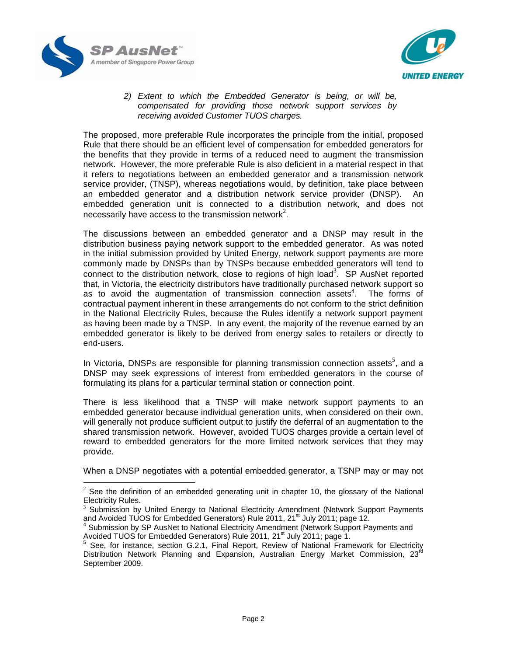

 $\overline{\phantom{a}}$ 



*2) Extent to which the Embedded Generator is being, or will be, compensated for providing those network support services by receiving avoided Customer TUOS charges.* 

The proposed, more preferable Rule incorporates the principle from the initial, proposed Rule that there should be an efficient level of compensation for embedded generators for the benefits that they provide in terms of a reduced need to augment the transmission network. However, the more preferable Rule is also deficient in a material respect in that it refers to negotiations between an embedded generator and a transmission network service provider, (TNSP), whereas negotiations would, by definition, take place between an embedded generator and a distribution network service provider (DNSP). An embedded generation unit is connected to a distribution network, and does not necessarily have access to the transmission network<sup>2</sup>.

The discussions between an embedded generator and a DNSP may result in the distribution business paying network support to the embedded generator. As was noted in the initial submission provided by United Energy, network support payments are more commonly made by DNSPs than by TNSPs because embedded generators will tend to connect to the distribution network, close to regions of high load<sup>3</sup>. SP AusNet reported that, in Victoria, the electricity distributors have traditionally purchased network support so as to avoid the augmentation of transmission connection assets $4$ . The forms of contractual payment inherent in these arrangements do not conform to the strict definition in the National Electricity Rules, because the Rules identify a network support payment as having been made by a TNSP. In any event, the majority of the revenue earned by an embedded generator is likely to be derived from energy sales to retailers or directly to end-users.

In Victoria, DNSPs are responsible for planning transmission connection assets<sup>5</sup>, and a DNSP may seek expressions of interest from embedded generators in the course of formulating its plans for a particular terminal station or connection point.

There is less likelihood that a TNSP will make network support payments to an embedded generator because individual generation units, when considered on their own, will generally not produce sufficient output to justify the deferral of an augmentation to the shared transmission network. However, avoided TUOS charges provide a certain level of reward to embedded generators for the more limited network services that they may provide.

When a DNSP negotiates with a potential embedded generator, a TSNP may or may not

 $2$  See the definition of an embedded generating unit in chapter 10, the glossary of the National Electricity Rules.

<sup>&</sup>lt;sup>3</sup> Submission by United Energy to National Electricity Amendment (Network Support Payments and Avoided TUOS for Embedded Generators) Rule 2011, 21<sup>st</sup> July 2011; page 12.

Submission by SP AusNet to National Electricity Amendment (Network Support Payments and Avoided TUOS for Embedded Generators) Rule 2011, 21<sup>st</sup> July 2011; page 1.<br><sup>5</sup> See for instance assists 2001, 5 See for instance assists 2001.

See, for instance, section G.2.1, Final Report, Review of National Framework for Electricity Distribution Network Planning and Expansion, Australian Energy Market Commission, 23<sup>rd</sup> September 2009.